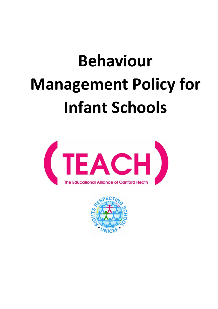# **Behaviour Management Policy for Infant Schools**



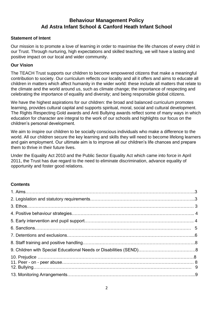# **Behaviour Management Policy Ad Astra Infant School & Canford Heath Infant School**

#### **Statement of Intent**

Our mission is to promote a love of learning in order to maximise the life chances of every child in our Trust. Through nurturing, high expectations and skilled teaching, we will have a lasting and positive impact on our local and wider community.

#### **Our Vision**

The TEACH Trust supports our children to become empowered citizens that make a meaningful contribution to society. Our curriculum reflects our locality and all it offers and aims to educate all children in matters which affect humanity in the wider world: these include all matters that relate to the climate and the world around us, such as climate change; the importance of respecting and celebrating the importance of equality and diversity; and being responsible global citizens.

We have the highest aspirations for our children: the broad and balanced curriculum promotes learning, provides cultural capital and supports spiritual, moral, social and cultural development. The Rights Respecting Gold awards and Anti Bullying awards reflect some of many ways in which education for character are integral to the work of our schools and highlights our focus on the children's personal development.

We aim to inspire our children to be socially conscious individuals who make a difference to the world. All our children secure the key learning and skills they will need to become lifelong learners and gain employment. Our ultimate aim is to improve all our children's life chances and prepare them to thrive in their future lives.

Under the Equality Act 2010 and the Public Sector Equality Act which came into force in April 2011, the Trust has due regard to the need to eliminate discrimination, advance equality of opportunity and foster good relations.

#### **Contents**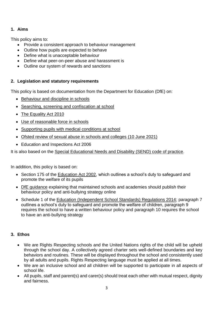# **1. Aims**

This policy aims to:

- Provide a consistent approach to behaviour management
- Outline how pupils are expected to behave
- Define what is unacceptable behaviour
- Define what peer-on-peer abuse and harassment is
- Outline our system of rewards and sanctions

# **2. Legislation and statutory requirements**

This policy is based on documentation from the Department for Education (DfE) on:

- [Behaviour and discipline in schools](https://www.gov.uk/government/publications/behaviour-and-discipline-in-schools)
- [Searching, screening and confiscation at school](https://www.gov.uk/government/publications/searching-screening-and-confiscation)
- [The Equality Act](https://www.gov.uk/government/publications/equality-act-2010-advice-for-schools) 2010
- [Use of reasonable force in schools](https://www.gov.uk/government/publications/use-of-reasonable-force-in-schools)
- [Supporting pupils with medical conditions at school](https://www.gov.uk/government/publications/supporting-pupils-at-school-with-medical-conditions--3)
- [Ofsted review of sexual abuse in schools and colleges \(10 June 2021\)](https://www.gov.uk/government/publications/review-of-sexual-abuse-in-schools-and-colleges/review-of-sexual-abuse-in-schools-and-colleges)
- Education and Inspections Act 2006

It is also based on the [Special Educational Needs and Disability \(SEND\) code of practice.](https://www.gov.uk/government/publications/send-code-of-practice-0-to-25)

In addition, this policy is based on:

- Section 175 of the [Education Act 2002,](http://www.legislation.gov.uk/ukpga/2002/32/section/175) which outlines a school's duty to safeguard and promote the welfare of its pupils
- [DfE guidance](https://www.gov.uk/guidance/what-maintained-schools-must-publish-online#behaviour-policy) explaining that maintained schools and academies should publish their behaviour policy and anti-bullying strategy online
- Schedule 1 of the [Education \(Independent School Standards\) Regulations 2014;](http://www.legislation.gov.uk/uksi/2014/3283/schedule/made) paragraph 7 outlines a school's duty to safeguard and promote the welfare of children, paragraph 9 requires the school to have a written behaviour policy and paragraph 10 requires the school to have an anti-bullying strategy

# **3. Ethos**

- We are Rights Respecting schools and the United Nations rights of the child will be upheld through the school day. A collectively agreed charter sets well-defined boundaries and key behaviors and routines. These will be displayed throughout the school and consistently used by all adults and pupils. Rights Respecting language must be applied at all times.
- We are an inclusive school and all children will be supported to participate in all aspects of school life.
- All pupils, staff and parent(s) and carer(s) should treat each other with mutual respect, dignity and fairness.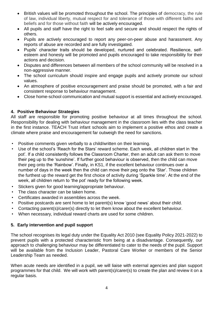- British values will be promoted throughout the school. The principles of democracy, the rule of law, individual liberty, mutual respect for and tolerance of those with different faiths and beliefs and for those without faith will be actively encouraged.
- All pupils and staff have the right to feel safe and secure and should respect the rights of others.
- Pupils are actively encouraged to report any peer-on-peer abuse and harassment. Any reports of abuse are recorded and are fully investigated.
- Pupils' character traits should be developed, nurtured and celebrated. Resilience, selfesteem and honesty will be promoted and pupils encouraged to take responsibility for their actions and decision.
- Disputes and differences between all members of the school community will be resolved in a non-aggressive manner.
- The school curriculum should inspire and engage pupils and actively promote our school values.
- An atmosphere of positive encouragement and praise should be promoted, with a fair and consistent response to behaviour management.
- Close home-school communication and mutual support is essential and actively encouraged.

## **4. Positive Behaviour Strategies**

All staff are responsible for promoting positive behaviour at all times throughout the school. Responsibility for dealing with behaviour management in the classroom lies with the class teacher in the first instance. TEACH Trust infant schools aim to implement a positive ethos and create a climate where praise and encouragement far outweigh the need for sanctions.

- Positive comments given verbally to a child/written on their learning.
- Use of the school's 'Reach for the Stars' reward scheme. Each week, all children start in 'the pot'. If a child consistently follows the Classroom Charter, then an adult can ask them to move their peg up to the 'sunshine'. If further good behaviour is observed, then the child can move their peg onto the 'Rainbow'. Finally, in KS1, if the excellent behaviour continues over a number of days in the week then the child can move their peg onto the 'Star'. Those children the furthest up the reward get the first choice of activity during 'Sparkle time'. At the end of the week, all children return to 'the pot' ready for the following week.
- Stickers given for good learning/appropriate behaviour.
- The class character can be taken home.
- Certificates awarded in assemblies across the week.
- Positive postcards are sent home to let parent(s) know 'good news' about their child.
- Contacting parent(s)/carer(s) directly to let them know about the excellent behaviour.
- When necessary, individual reward charts are used for some children.

#### **5. Early intervention and pupil support**

The school recognises its legal duty under the Equality Act 2010 (see Equality Policy 2021-2022) to prevent pupils with a protected characteristic from being at a disadvantage. Consequently, our approach to challenging behaviour may be differentiated to cater to the needs of the pupil. Support will be available from the Inclusion Leader, Pastoral Care Worker or members of the Senior Leadership Team as needed.

When acute needs are identified in a pupil, we will liaise with external agencies and plan support programmes for that child. We will work with parent(s)/carer(s) to create the plan and review it on a regular basis.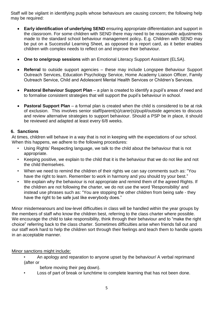Staff will be vigilant in identifying pupils whose behaviours are causing concern; the following help may be required:

- **Early identification of underlying SEND** ensuring appropriate differentiation and support in the classroom. For some children with SEND there may need to be reasonable adjustments made to the standard school behaviour management policy**.** E.g. Children with SEND may be put on a Successful Learning Sheet, as opposed to a report card, as it better enables children with complex needs to reflect on and improve their behaviour.
- **One to one/group sessions** with an Emotional Literacy Support Assistant (ELSA).
- **Referral** to outside support agencies these may include Longspee Behaviour Support Outreach Services, Education Psychology Service, Home Academy Liaison Officer, Family Outreach Service, Child and Adolescent Mental Health Services or Children's Services.
- **Pastoral Behaviour Support Plan**  a plan is created to identify a pupil's areas of need and to formalise consistent strategies that will support the pupil's behaviour in school.
- **Pastoral Support Plan** a formal plan is created when the child is considered to be at risk of exclusion. This involves senior staff/parent(s)/carer(s)/pupil/outside agencies to discuss and review alternative strategies to support behaviour. Should a PSP be in place, it should be reviewed and adapted at least every 6/8 weeks.

## **6. Sanctions**

At times, children will behave in a way that is not in keeping with the expectations of our school. When this happens, we adhere to the following procedures:

- Using Rights' Respecting language, we talk to the child about the behaviour that is not appropriate.
- Keeping positive, we explain to the child that it is the behaviour that we do not like and not the child themselves.
- When we need to remind the children of their rights we can say comments such as: "You have the right to learn. Remember to work in harmony and you should try your best."
- We explain why the behaviour is not appropriate and remind them of the agreed Rights. If the children are not following the charter, we do not use the word 'Responsibility' and instead use phrases such as: "You are stopping the other children from being safe - they have the right to be safe just like everybody does."

Minor misdemeanours and low-level difficulties in class will be handled within the year groups by the members of staff who know the children best, referring to the class charter where possible. We encourage the child to take responsibility, think through their behaviour and to "make the right" choice" referring back to the class charter. Sometimes difficulties arise when friends fall out and our staff work hard to help the children sort through their feelings and teach them to handle upsets in an acceptable manner.

# Minor sanctions might include:

- An apology and reparation to anyone upset by the behaviour/ A verbal reprimand (after or
	- before moving their peg down).
- Loss of part of break or lunchtime to complete learning that has not been done.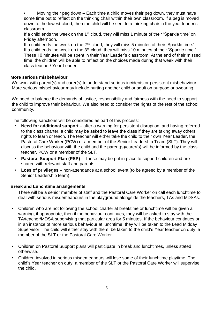• Moving their peg down – Each time a child moves their peg down, they must have some time out to reflect on the thinking chair within their own classroom. If a peg is moved down to the lowest cloud, then the child will be sent to a thinking chair in the year leader's classroom.

If a child ends the week on the 1<sup>st</sup> cloud, they will miss 1 minute of their 'Sparkle time' on Friday afternoon.

If a child ends the week on the  $2^{nd}$  cloud, they will miss 5 minutes of their 'Sparkle time.' If a child ends the week on the  $3<sup>rd</sup>$  cloud, they will miss 10 minutes of their 'Sparkle time.' These 10 minutes will be spent in their Year Leader's classroom. At the end of their missed time, the children will be able to reflect on the choices made during that week with their class teacher/ Year Leader.

#### **More serious misbehaviour**

We work with parent(s) and carer(s) to understand serious incidents or persistent misbehaviour. More serious misbehaviour may include hurting another child or adult on purpose or swearing.

We need to balance the demands of justice, responsibility and fairness with the need to support the child to improve their behaviour. We also need to consider the rights of the rest of the school community.

The following sanctions will be considered as part of this process:

- **Need for additional support**  after a warning for persistent disruption, and having referred to the class charter, a child may be asked to leave the class if they are taking away others' rights to learn or teach. The teacher will either take the child to their own Year Leader, the Pastoral Care Worker (PCW) or a member of the Senior Leadership Team (SLT). They will discuss the behaviour with the child and the parent(s)/carer(s) will be informed by the class teacher, PCW or a member of the SLT.
- **Pastoral Support Plan (PSP) –** These may be put in place to support children and are shared with relevant staff and parents.
- **Loss of privileges**  non-attendance at a school event (to be agreed by a member of the Senior Leadership team).

# **Break and Lunchtime arrangements**

There will be a senior member of staff and the Pastoral Care Worker on call each lunchtime to deal with serious misdemeanours in the playground alongside the teachers, TAs and MDSAs.

- Children who are not following the school charter at breaktime or lunchtime will be given a warning, if appropriate, then if the behaviour continues, they will be asked to stay with the TA/teacher/MDSA supervising that particular area for 5 minutes. If the behaviour continues or in an instance of more serious behaviour at lunchtime, they will be taken to the Lead Midday Supervisor. The child will either stay with them, be taken to the child's Year teacher on duty, a member of the SLT or the Pastoral Care Worker.
- Children on Pastoral Support plans will participate in break and lunchtimes, unless stated otherwise.
- Children involved in serious misdemeanours will lose some of their lunchtime playtime. The child's Year teacher on duty, a member of the SLT or the Pastoral Care Worker will supervise the child.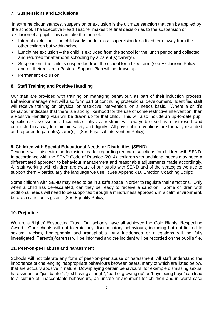## **7. Suspensions and Exclusions**

In extreme circumstances, suspension or exclusion is the ultimate sanction that can be applied by the school. The Executive Head Teacher makes the final decision as to the suspension or exclusion of a pupil. This can take the form of:

- Internal exclusion the child works under close supervision for a fixed term away from the other children but within school.
- Lunchtime exclusion the child is excluded from the school for the lunch period and collected and returned for afternoon schooling by a parent(s)/carer(s).
- Suspension the child is suspended from the school for a fixed term (see Exclusions Policy) and on their return, a Pastoral Support Plan will be drawn up.
- Permanent exclusion.

## **8. Staff Training and Positive Handling**

Our staff are provided with training on managing behaviour, as part of their induction process. Behaviour management will also form part of continuing professional development. Identified staff will receive training on physical or restrictive intervention, on a needs basis. Where a child's behaviour indicates that there is a strong likelihood for the use of some restrictive intervention, then a Positive Handling Plan will be drawn up for that child. This will also include an up-to-date pupil specific risk assessment. Incidents of physical restraint will always be used as a last resort, and conducted in a way to maintain safety and dignity. All physical interventions are formally recorded and reported to parent(s)/carer(s). (See Physical Intervention Policy)

## **9. Children with Special Educational Needs or Disabilities (SEND)**

Teachers will liaise with the Inclusion Leader regarding red card sanctions for children with SEND. In accordance with the SEND Code of Practice (2014), children with additional needs may need a differentiated approach to behaviour management and reasonable adjustments made accordingly. All staff working with children are aware of our pupils with SEND and of the strategies we use to support them – particularly the language we use. (See Appendix D, Emotion Coaching Script)

Some children with SEND may need to be in a safe space in order to regulate their emotions. Only when a child has de-escalated, can they be ready to receive a sanction. Some children with additional needs will need to be supported through a mindfulness approach, in a calm environment, before a sanction is given. (See Equality Policy)

# **10. Prejudice**

We are a Rights' Respecting Trust. Our schools have all achieved the Gold Rights' Respecting Award. Our schools will not tolerate any discriminatory behaviours, including but not limited to sexism, racism, homophobia and transphobia. Any incidences or allegations will be fully investigated. Parent(s)/carer(s) will be informed and the incident will be recorded on the pupil's file.

#### **11. Peer-on-peer abuse and harassment**

Schools will not tolerate any form of peer-on-peer abuse or harassment. All staff understand the importance of challenging inappropriate behaviours between peers, many of which are listed below, that are actually abusive in nature. Downplaying certain behaviours, for example dismissing sexual harassment as "just banter", "just having a laugh", "part of growing up" or "boys being boys" can lead to a culture of unacceptable behaviours, an unsafe environment for children and in worst case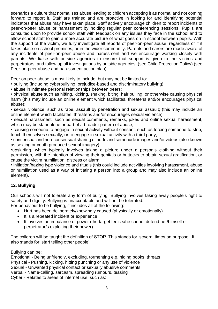scenarios a culture that normalises abuse leading to children accepting it as normal and not coming forward to report it. Staff are trained and are proactive in looking for and identifying potential indicators that abuse may have taken place. Staff actively encourage children to report incidents of peer-on-peer abuse or harassment by holding regular peer conferencing sessions. Pupils are consulted upon to provide school staff with feedback on any issues they face in the school and to allow school staff to gain a more accurate picture of what goes on in school between pupils. With the support of the victim, we fully investigate all reports of peer-on-peer abuse, regardless of if it takes place on school premises, or in the wider community. Parents and carers are made aware of any incidents of peer-on-peer abuse and harassment and we encourage working closely with parents. We liaise with outside agencies to ensure that support is given to the victims and perpetrators, and follow up all investigations by outside agencies. (see Child Protection Policy) (see Peer-on-peer abuse and harassment action plan)

Peer on peer abuse is most likely to include, but may not be limited to:

- bullying (including cyberbullying, prejudice-based and discriminatory bullying);
- abuse in intimate personal relationships between peers;

• physical abuse such as hitting, kicking, shaking, biting, hair pulling, or otherwise causing physical harm (this may include an online element which facilitates, threatens and/or encourages physical abuse);

• sexual violence, such as rape, assault by penetration and sexual assault; (this may include an online element which facilitates, threatens and/or encourages sexual violence);

• sexual harassment, such as sexual comments, remarks, jokes and online sexual harassment, which may be standalone or part of a broader pattern of abuse;

• causing someone to engage in sexual activity without consent, such as forcing someone to strip, touch themselves sexually, or to engage in sexual activity with a third party;

• consensual and non-consensual sharing of nude and semi-nude images and/or videos (also known as sexting or youth produced sexual imagery);

•upskirting, which typically involves taking a picture under a person's clothing without their permission, with the intention of viewing their genitals or buttocks to obtain sexual gratification, or cause the victim humiliation, distress or alarm;

• initiation/hazing type violence and rituals (this could include activities involving harassment, abuse or humiliation used as a way of initiating a person into a group and may also include an online element).

#### **12. Bullying**

Our schools will not tolerate any form of bullying. Bullying involves taking away people's right to safety and dignity. Bullying is unacceptable and will not be tolerated.

For behaviour to be bullying, it includes all of the following:

- Hurt has been deliberately/knowingly caused (physically or emotionally)
- It is a repeated incident or experience
- It involves an imbalance of power (the target feels s/he cannot defend her/himself or perpetrator/s exploiting their power)

The children will be taught the definition of STOP. This stands for 'several times on purpose'. It also stands for 'start telling other people'.

Bullying can be:

Emotional - Being unfriendly, excluding, tormenting e.g. hiding books, threats Physical - Pushing, kicking, hitting punching or any use of violence Sexual - Unwanted physical contact or sexually abusive comments Verbal - Name-calling, sarcasm, spreading rumours, teasing Cyber - Relates to areas of internet use, such as: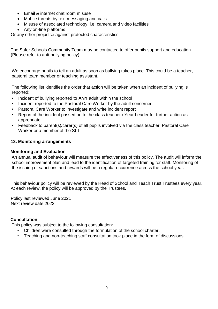- Email & internet chat room misuse
- Mobile threats by text messaging and calls
- Misuse of associated technology, i.e. camera and video facilities
- Any on-line platforms

Or any other prejudice against protected characteristics.

The Safer Schools Community Team may be contacted to offer pupils support and education. (Please refer to anti-bullying policy).

We encourage pupils to tell an adult as soon as bullying takes place. This could be a teacher, pastoral team member or teaching assistant.

The following list identifies the order that action will be taken when an incident of bullying is reported:

- Incident of bullying reported to **ANY** adult within the school
- Incident reported to the Pastoral Care Worker by the adult concerned
- Pastoral Care Worker to investigate and write incident report
- Report of the incident passed on to the class teacher / Year Leader for further action as appropriate
- Feedback to parent(s)/carer(s) of all pupils involved via the class teacher, Pastoral Care Worker or a member of the SLT

#### **13. Monitoring arrangements**

#### **Monitoring and Evaluation**

An annual audit of behaviour will measure the effectiveness of this policy. The audit will inform the school improvement plan and lead to the identification of targeted training for staff. Monitoring of the issuing of sanctions and rewards will be a regular occurrence across the school year.

This behaviour policy will be reviewed by the Head of School and Teach Trust Trustees every year. At each review, the policy will be approved by the Trustees.

Policy last reviewed June 2021 Next review date 2022

#### **Consultation**

This policy was subject to the following consultation:

- Children were consulted through the formulation of the school charter.
- Teaching and non-teaching staff consultation took place in the form of discussions.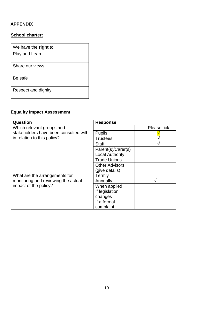# **APPENDIX**

## **School charter:**

| We have the right to: |
|-----------------------|
| Play and Learn        |
| Share our views       |
| Be safe               |
| Respect and dignity   |

# **Equality Impact Assessment**

| Question                                                                                          | <b>Response</b>        |             |
|---------------------------------------------------------------------------------------------------|------------------------|-------------|
| Which relevant groups and<br>stakeholders have been consulted with<br>in relation to this policy? |                        | Please tick |
|                                                                                                   | <b>Pupils</b>          |             |
|                                                                                                   | Trustees               |             |
|                                                                                                   | <b>Staff</b>           |             |
|                                                                                                   | Parent(s)/Carer(s)     |             |
|                                                                                                   | <b>Local Authority</b> |             |
|                                                                                                   | <b>Trade Unions</b>    |             |
|                                                                                                   | <b>Other Advisors</b>  |             |
|                                                                                                   | (give details)         |             |
| What are the arrangements for<br>monitoring and reviewing the actual<br>impact of the policy?     | Termly                 |             |
|                                                                                                   | Annually               |             |
|                                                                                                   | When applied           |             |
|                                                                                                   | If legislation         |             |
|                                                                                                   | changes                |             |
|                                                                                                   | If a formal            |             |
|                                                                                                   | complaint              |             |